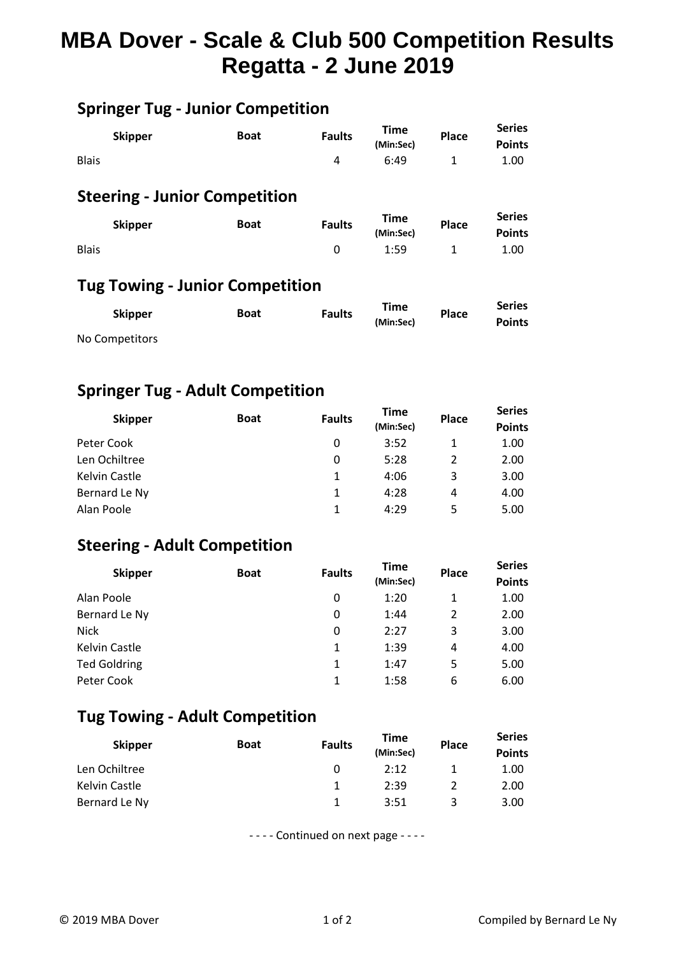# **MBA Dover - Scale & Club 500 Competition Results Regatta - 2 June 2019**

## **Springer Tug - Junior Competition**

|              | <b>Skipper</b> | Boat | <b>Faults</b> | <b>Time</b><br>(Min:Sec) | Place | <b>Series</b><br><b>Points</b> |
|--------------|----------------|------|---------------|--------------------------|-------|--------------------------------|
| <b>Blais</b> |                |      |               | 6:49                     |       | 1.00                           |

#### **Steering - Junior Competition**

|              | <b>Skipper</b> | <b>Boat</b> | <b>Faults</b> | <b>Time</b><br>(Min:Sec) | <b>Place</b> | <b>Series</b><br><b>Points</b> |
|--------------|----------------|-------------|---------------|--------------------------|--------------|--------------------------------|
| <b>Blais</b> |                |             |               | 1:59                     |              | 1.00                           |

#### **Tug Towing - Junior Competition**

| <b>Skipper</b> | Boat | <b>Faults</b> | Time<br>(Min:Sec) | <b>Place</b> | <b>Series</b><br><b>Points</b> |
|----------------|------|---------------|-------------------|--------------|--------------------------------|
| No Competitors |      |               |                   |              |                                |

#### **Springer Tug - Adult Competition**

| <b>Skipper</b> | <b>Boat</b> | <b>Faults</b> | <b>Time</b><br>(Min:Sec) | <b>Place</b> | <b>Series</b><br><b>Points</b> |
|----------------|-------------|---------------|--------------------------|--------------|--------------------------------|
| Peter Cook     |             | 0             | 3:52                     |              | 1.00                           |
| Len Ochiltree  |             | 0             | 5:28                     | 2            | 2.00                           |
| Kelvin Castle  |             | 1             | 4:06                     | 3            | 3.00                           |
| Bernard Le Ny  |             | 1             | 4:28                     | 4            | 4.00                           |
| Alan Poole     |             | 1             | 4:29                     | 5            | 5.00                           |

#### **Steering - Adult Competition**

| <b>Skipper</b>      | <b>Boat</b> | <b>Faults</b> | <b>Time</b><br>(Min:Sec) | Place | <b>Series</b><br><b>Points</b> |
|---------------------|-------------|---------------|--------------------------|-------|--------------------------------|
| Alan Poole          |             | 0             | 1:20                     | 1     | 1.00                           |
| Bernard Le Ny       |             | 0             | 1:44                     | 2     | 2.00                           |
| <b>Nick</b>         |             | 0             | 2:27                     | 3     | 3.00                           |
| Kelvin Castle       |             | 1             | 1:39                     | 4     | 4.00                           |
| <b>Ted Goldring</b> |             | $\mathbf{1}$  | 1:47                     | 5     | 5.00                           |
| Peter Cook          |             | 1             | 1:58                     | 6     | 6.00                           |

### **Tug Towing - Adult Competition**

| <b>Skipper</b> | <b>Boat</b> | <b>Faults</b> | Time<br>(Min:Sec) | Place | <b>Series</b><br><b>Points</b> |  |
|----------------|-------------|---------------|-------------------|-------|--------------------------------|--|
| Len Ochiltree  |             |               | 2:12              |       | 1.00                           |  |
| Kelvin Castle  |             |               | 2:39              |       | 2.00                           |  |
| Bernard Le Ny  |             |               | 3:51              |       | 3.00                           |  |

- - - - Continued on next page - - - -